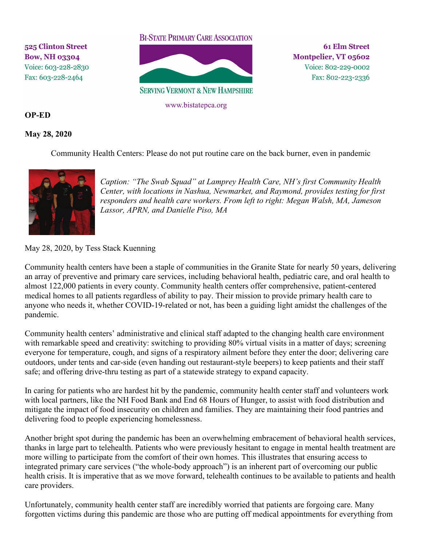525 Clinton Street **Bow, NH 03304** Voice: 603-228-2830 Fax: 603-228-2464

## **BI-STATE PRIMARY CARE ASSOCIATION**



www.bistatepca.org

**61 Elm Street** Montpelier, VT 05602 Voice: 802-229-0002 Fax: 802-223-2336

## **OP-ED**

## **May 28, 2020**

Community Health Centers: Please do not put routine care on the back burner, even in pandemic



*Caption: "The Swab Squad" at Lamprey Health Care, NH's first Community Health Center, with locations in Nashua, Newmarket, and Raymond, provides testing for first responders and health care workers. From left to right: Megan Walsh, MA, Jameson Lassor, APRN, and Danielle Piso, MA*

## May 28, 2020, by Tess Stack Kuenning

Community health centers have been a staple of communities in the Granite State for nearly 50 years, delivering an array of preventive and primary care services, including behavioral health, pediatric care, and oral health to almost 122,000 patients in every county. Community health centers offer comprehensive, patient-centered medical homes to all patients regardless of ability to pay. Their mission to provide primary health care to anyone who needs it, whether COVID-19-related or not, has been a guiding light amidst the challenges of the pandemic.

Community health centers' administrative and clinical staff adapted to the changing health care environment with remarkable speed and creativity: switching to providing 80% virtual visits in a matter of days; screening everyone for temperature, cough, and signs of a respiratory ailment before they enter the door; delivering care outdoors, under tents and car-side (even handing out restaurant-style beepers) to keep patients and their staff safe; and offering drive-thru testing as part of a statewide strategy to expand capacity.

In caring for patients who are hardest hit by the pandemic, community health center staff and volunteers work with local partners, like the NH Food Bank and End 68 Hours of Hunger, to assist with food distribution and mitigate the impact of food insecurity on children and families. They are maintaining their food pantries and delivering food to people experiencing homelessness.

Another bright spot during the pandemic has been an overwhelming embracement of behavioral health services, thanks in large part to telehealth. Patients who were previously hesitant to engage in mental health treatment are more willing to participate from the comfort of their own homes. This illustrates that ensuring access to integrated primary care services ("the whole-body approach") is an inherent part of overcoming our public health crisis. It is imperative that as we move forward, telehealth continues to be available to patients and health care providers.

Unfortunately, community health center staff are incredibly worried that patients are forgoing care. Many forgotten victims during this pandemic are those who are putting off medical appointments for everything from